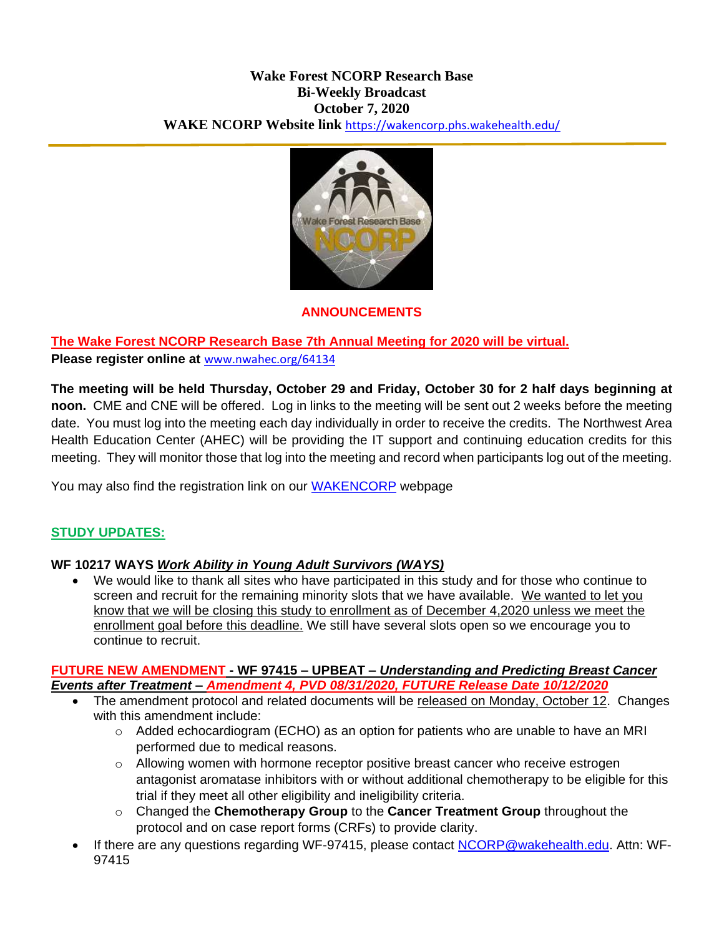#### **Wake Forest NCORP Research Base Bi-Weekly Broadcast October 7, 2020 WAKE NCORP Website link** <https://wakencorp.phs.wakehealth.edu/>



### **ANNOUNCEMENTS**

# **The Wake Forest NCORP Research Base 7th Annual Meeting for 2020 will be virtual.**

### **Please register online at** [www.nwahec.org/64134](http://www.nwahec.org/64134)

**The meeting will be held Thursday, October 29 and Friday, October 30 for 2 half days beginning at noon.** CME and CNE will be offered. Log in links to the meeting will be sent out 2 weeks before the meeting date. You must log into the meeting each day individually in order to receive the credits. The Northwest Area Health Education Center (AHEC) will be providing the IT support and continuing education credits for this meeting. They will monitor those that log into the meeting and record when participants log out of the meeting.

You may also find the registration link on our **WAKENCORP** webpage

### **STUDY UPDATES:**

### **WF 10217 WAYS** *Work Ability in Young Adult Survivors (WAYS)*

 We would like to thank all sites who have participated in this study and for those who continue to screen and recruit for the remaining minority slots that we have available. We wanted to let you know that we will be closing this study to enrollment as of December 4,2020 unless we meet the enrollment goal before this deadline. We still have several slots open so we encourage you to continue to recruit.

#### **FUTURE NEW AMENDMENT - WF 97415 – UPBEAT –** *Understanding and Predicting Breast Cancer Events after Treatment – Amendment 4, PVD 08/31/2020, FUTURE Release Date 10/12/2020*

- The amendment protocol and related documents will be released on Monday, October 12. Changes with this amendment include:
	- o Added echocardiogram (ECHO) as an option for patients who are unable to have an MRI performed due to medical reasons.
	- $\circ$  Allowing women with hormone receptor positive breast cancer who receive estrogen antagonist aromatase inhibitors with or without additional chemotherapy to be eligible for this trial if they meet all other eligibility and ineligibility criteria.
	- o Changed the **Chemotherapy Group** to the **Cancer Treatment Group** throughout the protocol and on case report forms (CRFs) to provide clarity.
- If there are any questions regarding WF-97415, please contact [NCORP@wakehealth.edu.](mailto:NCORP@wakehealth.edu) Attn: WF-97415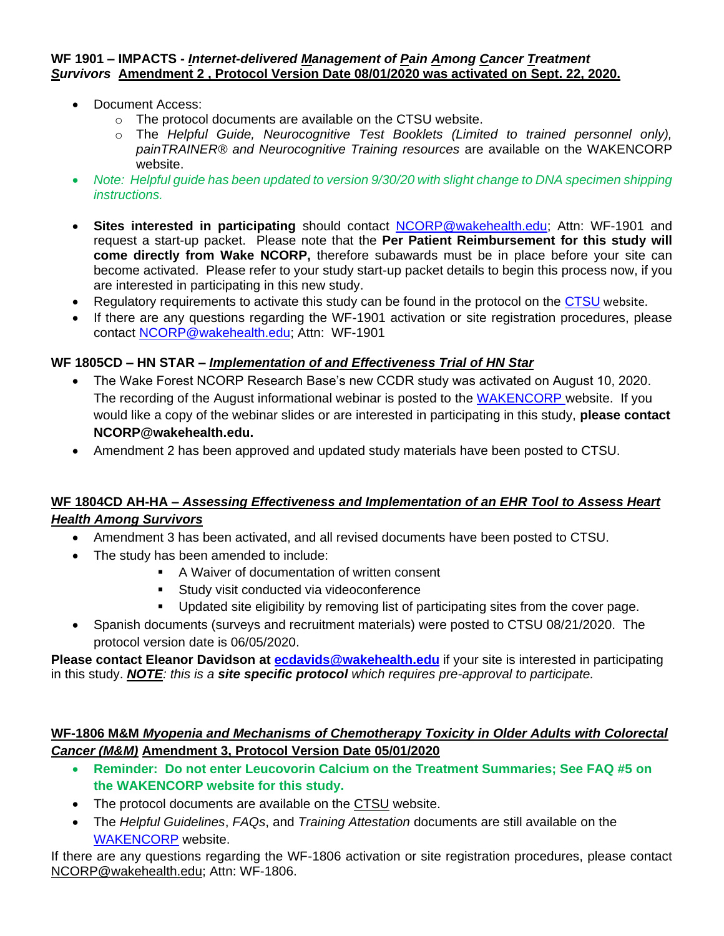#### **WF 1901 – IMPACTS -** *Internet-delivered Management of Pain Among Cancer Treatment Survivors* **Amendment 2 , Protocol Version Date 08/01/2020 was activated on Sept. 22, 2020.**

- Document Access:
	- o The protocol documents are available on the CTSU website.
	- o The *Helpful Guide, Neurocognitive Test Booklets (Limited to trained personnel only), painTRAINER® and Neurocognitive Training resources* are available on the WAKENCORP website.
- *Note: Helpful guide has been updated to version 9/30/20 with slight change to DNA specimen shipping instructions.*
- **Sites interested in participating** should contact [NCORP@wakehealth.edu;](mailto:NCORP@wakehealth.edu) Attn: WF-1901 and request a start-up packet. Please note that the **Per Patient Reimbursement for this study will come directly from Wake NCORP,** therefore subawards must be in place before your site can become activated. Please refer to your study start-up packet details to begin this process now, if you are interested in participating in this new study.
- Regulatory requirements to activate this study can be found in the protocol on the [CTSU](https://www.ctsu.org/Public/Default.aspx?ReturnUrl=%2f) website.
- If there are any questions regarding the WF-1901 activation or site registration procedures, please contact [NCORP@wakehealth.edu;](mailto:NCORP@wakehealth.edu) Attn: WF-1901

### **WF 1805CD – HN STAR –** *Implementation of and Effectiveness Trial of HN Star*

- The Wake Forest NCORP Research Base's new CCDR study was activated on August 10, 2020. The recording of the August informational webinar is posted to the [WAKENCORP](https://wakencorp.phs.wakehealth.edu/) website. If you would like a copy of the webinar slides or are interested in participating in this study, **please contact NCORP@wakehealth.edu.**
- Amendment 2 has been approved and updated study materials have been posted to CTSU.

### **WF 1804CD AH-HA –** *Assessing Effectiveness and Implementation of an EHR Tool to Assess Heart Health Among Survivors*

- Amendment 3 has been activated, and all revised documents have been posted to CTSU.
- The study has been amended to include:
	- A Waiver of documentation of written consent
	- **Study visit conducted via videoconference**
	- Updated site eligibility by removing list of participating sites from the cover page.
- Spanish documents (surveys and recruitment materials) were posted to CTSU 08/21/2020. The protocol version date is 06/05/2020.

**Please contact Eleanor Davidson at [ecdavids@wakehealth.edu](mailto:ecdavids@wakehealth.edu)** if your site is interested in participating in this study. *NOTE: this is a site specific protocol which requires pre-approval to participate.*

### **WF-1806 M&M** *Myopenia and Mechanisms of Chemotherapy Toxicity in Older Adults with Colorectal Cancer (M&M)* **Amendment 3, Protocol Version Date 05/01/2020**

- **Reminder: Do not enter Leucovorin Calcium on the Treatment Summaries; See FAQ #5 on the WAKENCORP website for this study.**
- The protocol documents are available on the [CTSU](https://www.ctsu.org/Public/Default.aspx?ReturnUrl=%2f) website.
- The *Helpful Guidelines*, *FAQs*, and *Training Attestation* documents are still available on the [WAKENCORP](https://wakencorp.phs.wakehealth.edu/) website.

If there are any questions regarding the WF-1806 activation or site registration procedures, please contact [NCORP@wakehealth.edu;](mailto:NCORP@wakehealth.edu) Attn: WF-1806.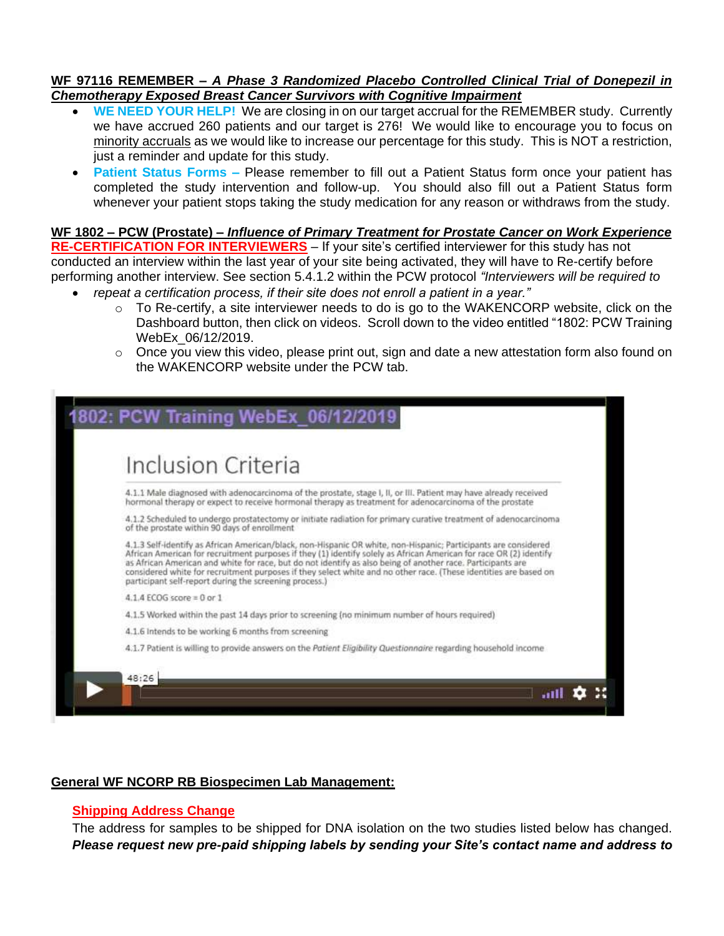#### **WF 97116 REMEMBER –** *A Phase 3 Randomized Placebo Controlled Clinical Trial of Donepezil in Chemotherapy Exposed Breast Cancer Survivors with Cognitive Impairment*

- **WE NEED YOUR HELP!** We are closing in on our target accrual for the REMEMBER study. Currently we have accrued 260 patients and our target is 276! We would like to encourage you to focus on minority accruals as we would like to increase our percentage for this study. This is NOT a restriction, just a reminder and update for this study.
- **Patient Status Forms –** Please remember to fill out a Patient Status form once your patient has completed the study intervention and follow-up. You should also fill out a Patient Status form whenever your patient stops taking the study medication for any reason or withdraws from the study.

### **WF 1802 – PCW (Prostate) –** *Influence of Primary Treatment for Prostate Cancer on Work Experience*

**RE-CERTIFICATION FOR INTERVIEWERS** – If your site's certified interviewer for this study has not conducted an interview within the last year of your site being activated, they will have to Re-certify before performing another interview. See section 5.4.1.2 within the PCW protocol *"Interviewers will be required to repeat a certification process, if their site does not enroll a patient in a year."*

- $\circ$  To Re-certify, a site interviewer needs to do is go to the WAKENCORP website, click on the Dashboard button, then click on videos. Scroll down to the video entitled "1802: PCW Training WebEx\_06/12/2019.
- $\circ$  Once you view this video, please print out, sign and date a new attestation form also found on the WAKENCORP website under the PCW tab.



#### **General WF NCORP RB Biospecimen Lab Management:**

#### **Shipping Address Change**

The address for samples to be shipped for DNA isolation on the two studies listed below has changed. *Please request new pre-paid shipping labels by sending your Site's contact name and address to*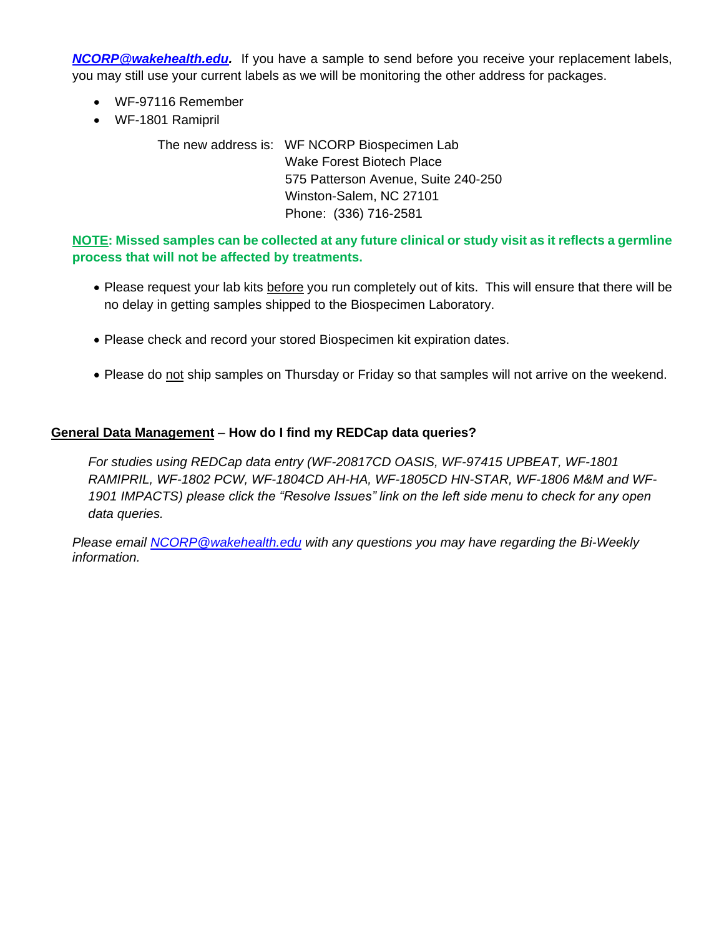*[NCORP@wakehealth.edu.](mailto:NCORP@wakehealth.edu)* If you have a sample to send before you receive your replacement labels, you may still use your current labels as we will be monitoring the other address for packages.

- WF-97116 Remember
- WF-1801 Ramipril

The new address is: WF NCORP Biospecimen Lab Wake Forest Biotech Place 575 Patterson Avenue, Suite 240-250 Winston-Salem, NC 27101 Phone: (336) 716-2581

**NOTE: Missed samples can be collected at any future clinical or study visit as it reflects a germline process that will not be affected by treatments.**

- Please request your lab kits before you run completely out of kits. This will ensure that there will be no delay in getting samples shipped to the Biospecimen Laboratory.
- Please check and record your stored Biospecimen kit expiration dates.
- Please do not ship samples on Thursday or Friday so that samples will not arrive on the weekend.

### **General Data Management** – **How do I find my REDCap data queries?**

*For studies using REDCap data entry (WF-20817CD OASIS, WF-97415 UPBEAT, WF-1801 RAMIPRIL, WF-1802 PCW, WF-1804CD AH-HA, WF-1805CD HN-STAR, WF-1806 M&M and WF-1901 IMPACTS) please click the "Resolve Issues" link on the left side menu to check for any open data queries.*

*Please email [NCORP@wakehealth.edu](mailto:NCORP@wakehealth.edu) with any questions you may have regarding the Bi-Weekly information.*